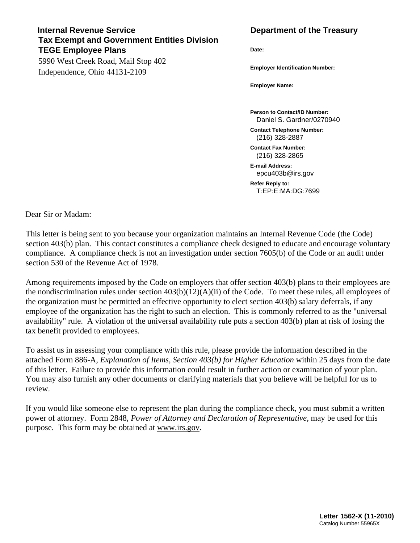## **Internal Revenue Service Community Community Community Department of the Treasury Tax Exempt and Government Entities Division TEGE Employee Plans**

5990 West Creek Road, Mail Stop 402 Independence, Ohio 44131-2109

**Date:** 

**Employer Identification Number:** 

**Employer Name:** 

**Person to Contact/ID Number:**  Daniel S. Gardner/0270940

**Contact Telephone Number:**  (216) 328-2887

**Contact Fax Number:**  (216) 328-2865

**E-mail Address:**  epcu403b@irs.gov

**Refer Reply to:**  T:EP:E:MA:DG:7699

Dear Sir or Madam:

This letter is being sent to you because your organization maintains an Internal Revenue Code (the Code) section 403(b) plan. This contact constitutes a compliance check designed to educate and encourage voluntary compliance. A compliance check is not an investigation under section 7605(b) of the Code or an audit under section 530 of the Revenue Act of 1978.

Among requirements imposed by the Code on employers that offer section 403(b) plans to their employees are the nondiscrimination rules under section  $403(b)(12)(A)(ii)$  of the Code. To meet these rules, all employees of the organization must be permitted an effective opportunity to elect section 403(b) salary deferrals, if any employee of the organization has the right to such an election. This is commonly referred to as the "universal availability" rule. A violation of the universal availability rule puts a section 403(b) plan at risk of losing the tax benefit provided to employees.

To assist us in assessing your compliance with this rule, please provide the information described in the attached Form 886-A, *Explanation of Items, Section 403(b) for Higher Education* within 25 days from the date of this letter. Failure to provide this information could result in further action or examination of your plan. You may also furnish any other documents or clarifying materials that you believe will be helpful for us to review.

If you would like someone else to represent the plan during the compliance check, you must submit a written power of attorney. Form 2848, *Power of Attorney and Declaration of Representative,* may be used for this purpose. This form may be obtained at www.irs.gov.